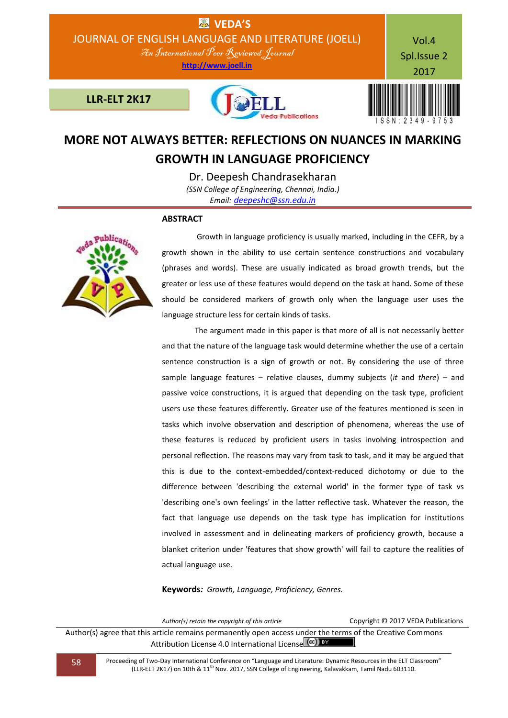

# **MORE NOT ALWAYS BETTER: REFLECTIONS ON NUANCES IN MARKING GROWTH IN LANGUAGE PROFICIENCY**

Dr. Deepesh Chandrasekharan *(SSN College of Engineering, Chennai, India.) Email: [deepeshc@ssn.edu.in](mailto:deepeshc@ssn.edu.in)*

## **ABSTRACT**



 Growth in language proficiency is usually marked, including in the CEFR, by a growth shown in the ability to use certain sentence constructions and vocabulary (phrases and words). These are usually indicated as broad growth trends, but the greater or less use of these features would depend on the task at hand. Some of these should be considered markers of growth only when the language user uses the language structure less for certain kinds of tasks.

 The argument made in this paper is that more of all is not necessarily better and that the nature of the language task would determine whether the use of a certain sentence construction is a sign of growth or not. By considering the use of three sample language features – relative clauses, dummy subjects (*it* and *there*) – and passive voice constructions, it is argued that depending on the task type, proficient users use these features differently. Greater use of the features mentioned is seen in tasks which involve observation and description of phenomena, whereas the use of these features is reduced by proficient users in tasks involving introspection and personal reflection. The reasons may vary from task to task, and it may be argued that this is due to the context-embedded/context-reduced dichotomy or due to the difference between 'describing the external world' in the former type of task vs 'describing one's own feelings' in the latter reflective task. Whatever the reason, the fact that language use depends on the task type has implication for institutions involved in assessment and in delineating markers of proficiency growth, because a blanket criterion under 'features that show growth' will fail to capture the realities of actual language use.

**Keywords***: Growth, Language, Proficiency, Genres.*

*Author(s) retain the copyright of this article* Copyright © 2017 VEDA Publications Author(s) agree that this article remains permanently open access under the terms of the Creative Commons Attribution License 4.0 International License  $\overline{c}$  oc) BY

58 Proceeding of Two-Day International Conference on "Language and Literature: Dynamic Resources in the ELT Classroom" (LLR-ELT 2K17) on 10th & 11th Nov. 2017, SSN College of Engineering, Kalavakkam, Tamil Nadu 603110.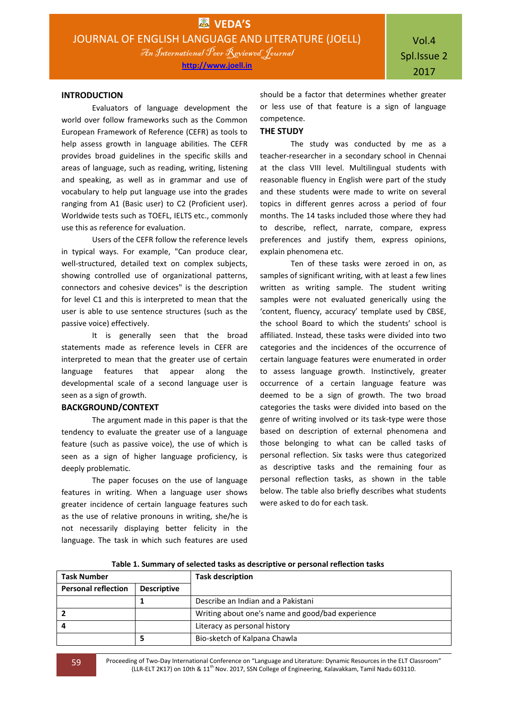## **INTRODUCTION**

Evaluators of language development the world over follow frameworks such as the Common European Framework of Reference (CEFR) as tools to help assess growth in language abilities. The CEFR provides broad guidelines in the specific skills and areas of language, such as reading, writing, listening and speaking, as well as in grammar and use of vocabulary to help put language use into the grades ranging from A1 (Basic user) to C2 (Proficient user). Worldwide tests such as TOEFL, IELTS etc., commonly use this as reference for evaluation.

Users of the CEFR follow the reference levels in typical ways. For example, "Can produce clear, well-structured, detailed text on complex subjects, showing controlled use of organizational patterns, connectors and cohesive devices" is the description for level C1 and this is interpreted to mean that the user is able to use sentence structures (such as the passive voice) effectively.

It is generally seen that the broad statements made as reference levels in CEFR are interpreted to mean that the greater use of certain language features that appear along the developmental scale of a second language user is seen as a sign of growth.

# **BACKGROUND/CONTEXT**

The argument made in this paper is that the tendency to evaluate the greater use of a language feature (such as passive voice), the use of which is seen as a sign of higher language proficiency, is deeply problematic.

The paper focuses on the use of language features in writing. When a language user shows greater incidence of certain language features such as the use of relative pronouns in writing, she/he is not necessarily displaying better felicity in the language. The task in which such features are used

should be a factor that determines whether greater or less use of that feature is a sign of language competence.

## **THE STUDY**

The study was conducted by me as a teacher-researcher in a secondary school in Chennai at the class VIII level. Multilingual students with reasonable fluency in English were part of the study and these students were made to write on several topics in different genres across a period of four months. The 14 tasks included those where they had to describe, reflect, narrate, compare, express preferences and justify them, express opinions, explain phenomena etc.

Ten of these tasks were zeroed in on, as samples of significant writing, with at least a few lines written as writing sample. The student writing samples were not evaluated generically using the 'content, fluency, accuracy' template used by CBSE, the school Board to which the students' school is affiliated. Instead, these tasks were divided into two categories and the incidences of the occurrence of certain language features were enumerated in order to assess language growth. Instinctively, greater occurrence of a certain language feature was deemed to be a sign of growth. The two broad categories the tasks were divided into based on the genre of writing involved or its task-type were those based on description of external phenomena and those belonging to what can be called tasks of personal reflection. Six tasks were thus categorized as descriptive tasks and the remaining four as personal reflection tasks, as shown in the table below. The table also briefly describes what students were asked to do for each task.

| <b>Task Number</b>         |                    | <b>Task description</b>                          |
|----------------------------|--------------------|--------------------------------------------------|
| <b>Personal reflection</b> | <b>Descriptive</b> |                                                  |
|                            |                    | Describe an Indian and a Pakistani               |
| $\overline{2}$             |                    | Writing about one's name and good/bad experience |
| 4                          |                    | Literacy as personal history                     |
|                            |                    | Bio-sketch of Kalpana Chawla                     |

 **Table 1. Summary of selected tasks as descriptive or personal reflection tasks**

59 Proceeding of Two-Day International Conference on "Language and Literature: Dynamic Resources in the ELT Classroom" (LLR-ELT 2K17) on 10th & 11<sup>th</sup> Nov. 2017, SSN College of Engineering, Kalavakkam, Tamil Nadu 603110.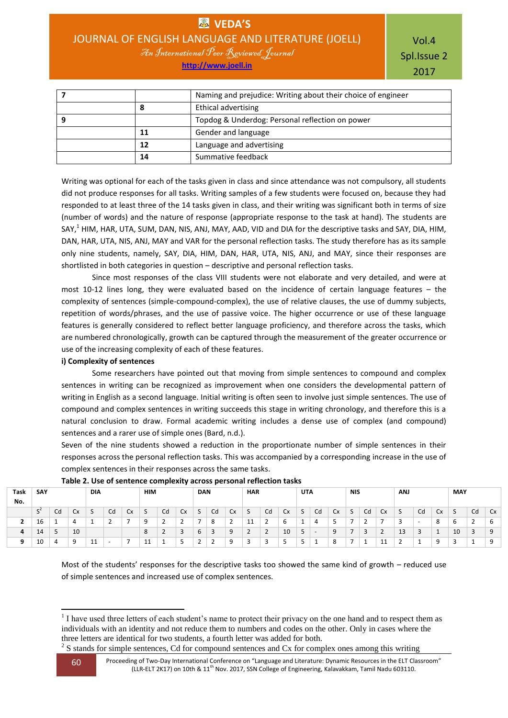**VEDA'S** JOURNAL OF ENGLISH LANGUAGE AND LITERATURE (JOELL)

An International Peer Reviewed Journal **http://www.joell.in**

Vol.4 Spl.Issue 2 2017

|    | Naming and prejudice: Writing about their choice of engineer |
|----|--------------------------------------------------------------|
| ο  | Ethical advertising                                          |
|    | Topdog & Underdog: Personal reflection on power              |
| 11 | Gender and language                                          |
| 12 | Language and advertising                                     |
| 14 | Summative feedback                                           |

Writing was optional for each of the tasks given in class and since attendance was not compulsory, all students did not produce responses for all tasks. Writing samples of a few students were focused on, because they had responded to at least three of the 14 tasks given in class, and their writing was significant both in terms of size (number of words) and the nature of response (appropriate response to the task at hand). The students are SAY,<sup>1</sup> HIM, HAR, UTA, SUM, DAN, NIS, ANJ, MAY, AAD, VID and DIA for the descriptive tasks and SAY, DIA, HIM, DAN, HAR, UTA, NIS, ANJ, MAY and VAR for the personal reflection tasks. The study therefore has as its sample only nine students, namely, SAY, DIA, HIM, DAN, HAR, UTA, NIS, ANJ, and MAY, since their responses are shortlisted in both categories in question – descriptive and personal reflection tasks.

Since most responses of the class VIII students were not elaborate and very detailed, and were at most 10-12 lines long, they were evaluated based on the incidence of certain language features – the complexity of sentences (simple-compound-complex), the use of relative clauses, the use of dummy subjects, repetition of words/phrases, and the use of passive voice. The higher occurrence or use of these language features is generally considered to reflect better language proficiency, and therefore across the tasks, which are numbered chronologically, growth can be captured through the measurement of the greater occurrence or use of the increasing complexity of each of these features.

## **i) Complexity of sentences**

Some researchers have pointed out that moving from simple sentences to compound and complex sentences in writing can be recognized as improvement when one considers the developmental pattern of writing in English as a second language. Initial writing is often seen to involve just simple sentences. The use of compound and complex sentences in writing succeeds this stage in writing chronology, and therefore this is a natural conclusion to draw. Formal academic writing includes a dense use of complex (and compound) sentences and a rarer use of simple ones (Bard, n.d.).

Seven of the nine students showed a reduction in the proportionate number of simple sentences in their responses across the personal reflection tasks. This was accompanied by a corresponding increase in the use of complex sentences in their responses across the same tasks.

|          | $\sim$<br>__<br>$\sim$ |          |           |     |    |    |            |    |    |                     |    |                               |            |    |    |                     |                          |    |            |          |           |            |                          |    |                     |    |    |
|----------|------------------------|----------|-----------|-----|----|----|------------|----|----|---------------------|----|-------------------------------|------------|----|----|---------------------|--------------------------|----|------------|----------|-----------|------------|--------------------------|----|---------------------|----|----|
| Task     | SAY                    |          |           | DIA |    |    | <b>HIM</b> |    |    | <b>DAN</b>          |    |                               | <b>HAR</b> |    |    | <b>UTA</b>          |                          |    | <b>NIS</b> |          |           | <b>ANJ</b> |                          |    | <b>MAY</b>          |    |    |
| No.      |                        |          |           |     |    |    |            |    |    |                     |    |                               |            |    |    |                     |                          |    |            |          |           |            |                          |    |                     |    |    |
|          | $\mathsf{C}^2$<br>2    | Cd       | <b>Cx</b> |     | Cd | Сx | د          | Cd | Cx | $\overline{ }$<br>S | Cd | <b>Cx</b>                     | 5          | Cd | Cx | S                   | Cd                       | Cx | S          | Cd       | <b>Cx</b> | 5          | Cd                       | Cx | $\overline{ }$<br>C | Cd | Cx |
|          | 16                     | <b>.</b> | 4         | л.  |    |    | $\Omega$   |    |    |                     | 8  | $\overline{\phantom{0}}$<br>- | 11         | -  | b  |                     | 4                        |    |            |          |           |            | $\overline{\phantom{a}}$ | 8  | ь                   | -  | 6  |
| 4        | 14                     | ъ<br>◡   | 10        |     |    |    | 8          | -  | ت  | 6                   | 3  | q<br>◡                        | -          | -  | 10 | $\overline{a}$<br>້ | $\overline{\phantom{a}}$ | c  |            | <u>.</u> |           | 13         | Е<br>ر_                  | л. | 10                  | ာ  | 9  |
| $\Omega$ | 10                     | 4        | 9         | 11  | -  |    | 11<br>ᆠ    | л. | لى | n                   |    | $\Omega$                      | э<br>к.    | -  | ٠  | ت                   | л.                       | 8  |            |          | 11<br>ᆠ   |            | л.                       | a  |                     |    | 9  |
|          |                        |          |           |     |    |    |            |    |    |                     |    |                               |            |    |    |                     |                          |    |            |          |           |            |                          |    |                     |    |    |

**Table 2. Use of sentence complexity across personal reflection tasks**

Most of the students' responses for the descriptive tasks too showed the same kind of growth – reduced use of simple sentences and increased use of complex sentences.

**<sup>.</sup>**  $<sup>1</sup>$  I have used three letters of each student's name to protect their privacy on the one hand and to respect them as</sup> individuals with an identity and not reduce them to numbers and codes on the other. Only in cases where the three letters are identical for two students, a fourth letter was added for both.

 $2^2$  S stands for simple sentences, Cd for compound sentences and Cx for complex ones among this writing

<sup>60</sup> Proceeding of Two-Day International Conference on "Language and Literature: Dynamic Resources in the ELT Classroom" (LLR-ELT 2K17) on 10th & 11<sup>th</sup> Nov. 2017, SSN College of Engineering, Kalavakkam, Tamil Nadu 603110.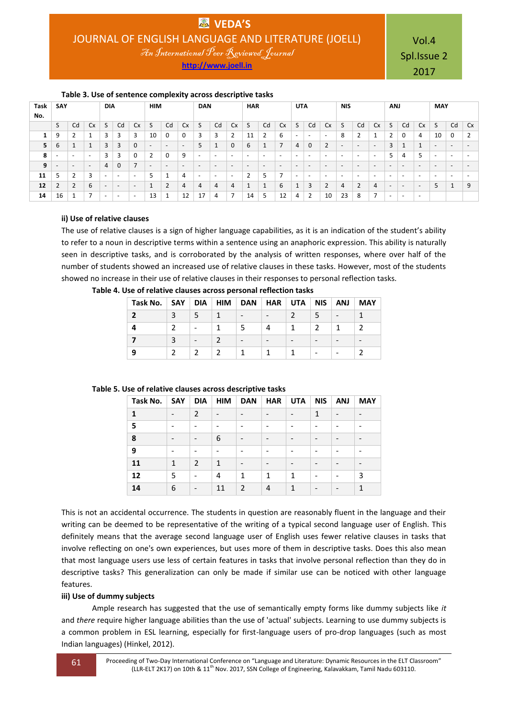**http://www.joell.in**

Vol.4 Spl.Issue 2 2017

**Task No. SAY DIA HIM DAN HAR UTA NIS ANJ MAY** S Cd Cx  $S$  Cd Cx  $S$  Cd Cx  $S$  Cd Cx  $S$  Cd Cx  $S$  Cd Cx  $S$  Cd Cx  $S$  Cd Cx  $S$  Cd  $C$ x  $S$  Cd  $C$ x  $S$  | 9 | 2 | 1 | 3 | 3 | 3 | 10 | 0 | 0 | 3 | 3 | 2 | 11 | 2 | 6 | - | - | - | 8 | 2 | 1 | 2 | 0 | 4 | 10 | 0 | 2 6 1 1 3 3 0 - - - 5 1 0 6 1 7 4 0 2 - - - 3 1 1 - - - - - - 3 3 0 2 0 9 - - - - - - - - - - - - - - - 5 4 5 - - - - - 4 0 7 - - - - - - - - - - - - - - - - - - - - - 5 2 3 - - - 5 1 4 - - - 2 5 7 - - - - - - - - - - - - 2 2 6 - - - 1 2 4 4 4 4 1 1 6 1 3 2 4 2 4 - - - 5 1 9 | 16 | 1 | 7 | - | - | 13 | 1 | 12 | 17 | 4 | 7 | 14 | 5 | 12 | 4 | 2 | 10 | 23 | 8 | 7 | - | - | -

# **Table 3. Use of sentence complexity across descriptive tasks**

# **ii) Use of relative clauses**

The use of relative clauses is a sign of higher language capabilities, as it is an indication of the student's ability to refer to a noun in descriptive terms within a sentence using an anaphoric expression. This ability is naturally seen in descriptive tasks, and is corroborated by the analysis of written responses, where over half of the number of students showed an increased use of relative clauses in these tasks. However, most of the students showed no increase in their use of relative clauses in their responses to personal reflection tasks.

| Task No. $\vert$ SAY $\vert$ |                          | DIA   HIM | DAN                      |                          | $HAR$ UTA       | <b>NIS</b> | <b>ANJ</b> | <b>MAY</b>               |
|------------------------------|--------------------------|-----------|--------------------------|--------------------------|-----------------|------------|------------|--------------------------|
|                              |                          |           | $\overline{\phantom{a}}$ | $\qquad \qquad$          |                 |            |            |                          |
|                              | $\overline{\phantom{0}}$ |           |                          | 4                        |                 |            |            |                          |
|                              | $\overline{\phantom{0}}$ |           |                          | $\overline{\phantom{0}}$ | $\qquad \qquad$ |            |            | $\overline{\phantom{0}}$ |
| 9                            |                          |           |                          |                          |                 |            |            |                          |

#### **Table 4. Use of relative clauses across personal reflection tasks**

## **Table 5. Use of relative clauses across descriptive tasks**

| Task No. | <b>SAY</b>                   | <b>DIA</b>     | <b>HIM</b>                   | <b>DAN</b>               | <b>HAR</b> | <b>UTA</b> | <b>NIS</b>   | <b>ANJ</b>               | <b>MAY</b>               |
|----------|------------------------------|----------------|------------------------------|--------------------------|------------|------------|--------------|--------------------------|--------------------------|
| 1        | $\overline{\phantom{a}}$     | $\overline{2}$ | $\qquad \qquad \blacksquare$ |                          |            |            | $\mathbf{1}$ | $\overline{\phantom{0}}$ | $\overline{\phantom{0}}$ |
| 5        | $\qquad \qquad \blacksquare$ |                | $\overline{\phantom{a}}$     | -                        |            |            |              |                          | $\overline{\phantom{0}}$ |
| 8        |                              | -              | 6                            | $\qquad \qquad$          |            |            |              |                          |                          |
| 9        |                              |                |                              |                          |            |            |              |                          |                          |
| 11       | 1                            | $\overline{2}$ | $\mathbf{1}$                 |                          |            |            |              |                          |                          |
| 12       | 5                            | ٠              | 4                            | $\mathbf{1}$             | 1          | 1          |              |                          | 3                        |
| 14       | 6                            | $\overline{a}$ | 11                           | $\overline{\phantom{a}}$ | 4          | 1          |              |                          | 1                        |

This is not an accidental occurrence. The students in question are reasonably fluent in the language and their writing can be deemed to be representative of the writing of a typical second language user of English. This definitely means that the average second language user of English uses fewer relative clauses in tasks that involve reflecting on one's own experiences, but uses more of them in descriptive tasks. Does this also mean that most language users use less of certain features in tasks that involve personal reflection than they do in descriptive tasks? This generalization can only be made if similar use can be noticed with other language features.

## **iii) Use of dummy subjects**

Ample research has suggested that the use of semantically empty forms like dummy subjects like *it* and *there* require higher language abilities than the use of 'actual' subjects. Learning to use dummy subjects is a common problem in ESL learning, especially for first-language users of pro-drop languages (such as most Indian languages) (Hinkel, 2012).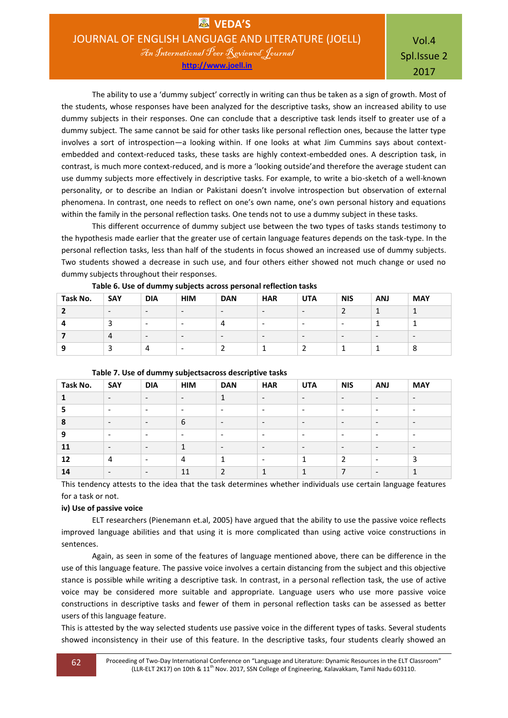Vol.4 Spl.Issue 2 2017

The ability to use a 'dummy subject' correctly in writing can thus be taken as a sign of growth. Most of the students, whose responses have been analyzed for the descriptive tasks, show an increased ability to use dummy subjects in their responses. One can conclude that a descriptive task lends itself to greater use of a dummy subject. The same cannot be said for other tasks like personal reflection ones, because the latter type involves a sort of introspection—a looking within. If one looks at what Jim Cummins says about contextembedded and context-reduced tasks, these tasks are highly context-embedded ones. A description task, in contrast, is much more context-reduced, and is more a 'looking outside'and therefore the average student can use dummy subjects more effectively in descriptive tasks. For example, to write a bio-sketch of a well-known personality, or to describe an Indian or Pakistani doesn't involve introspection but observation of external phenomena. In contrast, one needs to reflect on one's own name, one's own personal history and equations within the family in the personal reflection tasks. One tends not to use a dummy subject in these tasks.

This different occurrence of dummy subject use between the two types of tasks stands testimony to the hypothesis made earlier that the greater use of certain language features depends on the task-type. In the personal reflection tasks, less than half of the students in focus showed an increased use of dummy subjects. Two students showed a decrease in such use, and four others either showed not much change or used no dummy subjects throughout their responses.

|          | .                        |                          |                          |            | __<br>____               |                          |                          |                          |            |
|----------|--------------------------|--------------------------|--------------------------|------------|--------------------------|--------------------------|--------------------------|--------------------------|------------|
| Task No. | SAY                      | <b>DIA</b>               | <b>HIM</b>               | <b>DAN</b> | <b>HAR</b>               | <b>UTA</b>               | <b>NIS</b>               | <b>ANJ</b>               | <b>MAY</b> |
|          | $\overline{\phantom{0}}$ | $\overline{\phantom{a}}$ | $\overline{\phantom{0}}$ | -          | $\overline{\phantom{0}}$ | $\overline{\phantom{0}}$ |                          |                          |            |
|          | ◡                        | -                        | -                        |            | -                        | -                        | $\overline{\phantom{0}}$ |                          |            |
|          | 4                        | $\overline{\phantom{0}}$ | $\overline{\phantom{0}}$ | -          | $\overline{\phantom{0}}$ | $\overline{\phantom{a}}$ | $\overline{\phantom{0}}$ | $\overline{\phantom{a}}$ | -          |
|          |                          |                          | -                        |            |                          |                          |                          |                          | 8          |

**Table 6. Use of dummy subjects across personal reflection tasks**

| Task No. | <b>SAY</b>               | <b>DIA</b>               | <b>HIM</b>               | <b>DAN</b>               | <b>HAR</b>                   | <b>UTA</b>               | <b>NIS</b>               | <b>ANJ</b>               | <b>MAY</b>               |
|----------|--------------------------|--------------------------|--------------------------|--------------------------|------------------------------|--------------------------|--------------------------|--------------------------|--------------------------|
|          | $\overline{\phantom{a}}$ | $\overline{\phantom{a}}$ | $\overline{\phantom{a}}$ | 1                        | $\qquad \qquad \blacksquare$ | $\overline{\phantom{a}}$ | $\overline{\phantom{a}}$ | $\overline{\phantom{a}}$ | $\overline{\phantom{a}}$ |
| 5        | $\overline{\phantom{0}}$ | $\overline{\phantom{a}}$ | $\overline{\phantom{0}}$ | $\overline{\phantom{a}}$ | $\overline{\phantom{0}}$     | $\overline{\phantom{a}}$ | $\overline{\phantom{a}}$ | $\overline{\phantom{a}}$ | $\overline{\phantom{a}}$ |
| 8        | $\overline{\phantom{a}}$ | $\overline{\phantom{a}}$ | 6                        | $\overline{\phantom{a}}$ | $\overline{\phantom{a}}$     | $\overline{\phantom{a}}$ | $\overline{\phantom{a}}$ | $\overline{\phantom{a}}$ | $\overline{\phantom{0}}$ |
| 9        | $\overline{\phantom{a}}$ | $\overline{\phantom{a}}$ | $\overline{\phantom{a}}$ | $\overline{\phantom{a}}$ | $\overline{\phantom{a}}$     | $\overline{\phantom{a}}$ | $\overline{\phantom{a}}$ | $\overline{\phantom{a}}$ | $\overline{\phantom{a}}$ |
| 11       | $\overline{\phantom{a}}$ | $\overline{\phantom{a}}$ | $\mathbf{1}$             | $\overline{\phantom{a}}$ | $\qquad \qquad \blacksquare$ | $\overline{\phantom{a}}$ | $\overline{\phantom{0}}$ | $\overline{\phantom{a}}$ | $\overline{\phantom{a}}$ |
| 12       | 4                        | $\overline{\phantom{a}}$ | 4                        | 1                        | $\overline{\phantom{a}}$     | 1                        | 2                        | $\overline{\phantom{a}}$ | 3                        |
| 14       | $\overline{\phantom{a}}$ | $\overline{\phantom{0}}$ | 11                       | $\mathcal{P}$            |                              |                          |                          | $\overline{\phantom{a}}$ |                          |

This tendency attests to the idea that the task determines whether individuals use certain language features for a task or not.

# **iv) Use of passive voice**

ELT researchers (Pienemann et.al, 2005) have argued that the ability to use the passive voice reflects improved language abilities and that using it is more complicated than using active voice constructions in sentences.

Again, as seen in some of the features of language mentioned above, there can be difference in the use of this language feature. The passive voice involves a certain distancing from the subject and this objective stance is possible while writing a descriptive task. In contrast, in a personal reflection task, the use of active voice may be considered more suitable and appropriate. Language users who use more passive voice constructions in descriptive tasks and fewer of them in personal reflection tasks can be assessed as better users of this language feature.

This is attested by the way selected students use passive voice in the different types of tasks. Several students showed inconsistency in their use of this feature. In the descriptive tasks, four students clearly showed an

62 Proceeding of Two-Day International Conference on "Language and Literature: Dynamic Resources in the ELT Classroom" (LLR-ELT 2K17) on 10th & 11<sup>th</sup> Nov. 2017, SSN College of Engineering, Kalavakkam, Tamil Nadu 603110.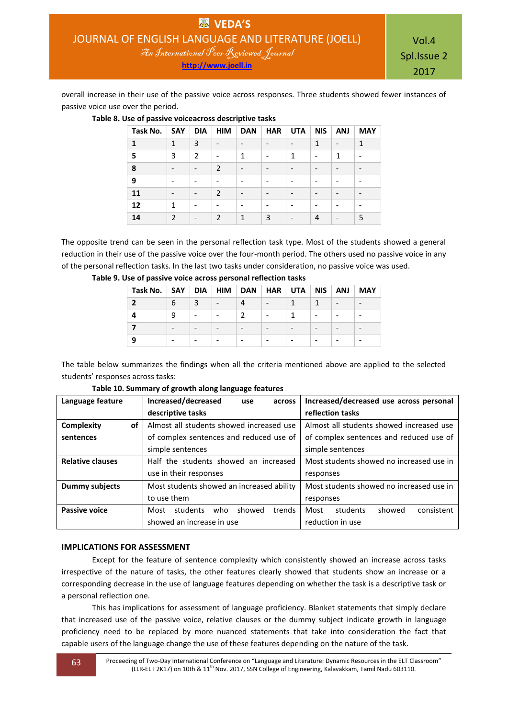Vol.4 Spl.Issue 2 2017

overall increase in their use of the passive voice across responses. Three students showed fewer instances of passive voice use over the period.

| Task No. | SAY            | <b>DIA</b>               | <b>HIM</b>     | <b>DAN</b>      | <b>HAR</b> | <b>UTA</b> | <b>NIS</b>      | <b>ANJ</b> | <b>MAY</b> |
|----------|----------------|--------------------------|----------------|-----------------|------------|------------|-----------------|------------|------------|
| 1        | $\mathbf{1}$   | 3                        |                |                 |            |            | 1               |            | 1          |
| 5        | 3              | $\overline{2}$           |                | 1               | -          | 1          | $\qquad \qquad$ | 1          |            |
| 8        |                | $\overline{a}$           | $\overline{2}$ |                 |            |            |                 |            |            |
| 9        |                |                          |                |                 |            |            |                 |            |            |
| 11       |                | $\overline{\phantom{a}}$ | $\mathcal{P}$  | $\qquad \qquad$ | -          |            | $\qquad \qquad$ |            |            |
| 12       | 1              |                          |                |                 |            |            |                 |            |            |
| 14       | $\overline{2}$ | $\overline{a}$           | $\mathcal{P}$  | 1               | 3          |            | $\overline{a}$  |            | 5          |

# **Table 8. Use of passive voiceacross descriptive tasks**

The opposite trend can be seen in the personal reflection task type. Most of the students showed a general reduction in their use of the passive voice over the four-month period. The others used no passive voice in any of the personal reflection tasks. In the last two tasks under consideration, no passive voice was used.

| Task No.   SAY   DIA   HIM   DAN   HAR   UTA   NIS   ANJ |   |                          |                          |                          |  | MAY |
|----------------------------------------------------------|---|--------------------------|--------------------------|--------------------------|--|-----|
|                                                          | 6 |                          |                          | $\overline{\phantom{0}}$ |  |     |
|                                                          | a | $\overline{\phantom{0}}$ | $\overline{\phantom{a}}$ | $\overline{\phantom{0}}$ |  |     |
|                                                          |   | $\qquad \qquad$          |                          |                          |  |     |
|                                                          |   |                          |                          |                          |  |     |

**Table 9. Use of passive voice across personal reflection tasks**

The table below summarizes the findings when all the criteria mentioned above are applied to the selected students' responses across tasks:

| Language feature        | Increased/decreased<br>across<br>use        | Increased/decreased use across personal  |
|-------------------------|---------------------------------------------|------------------------------------------|
|                         | descriptive tasks                           | reflection tasks                         |
| Complexity<br>0f        | Almost all students showed increased use    | Almost all students showed increased use |
| sentences               | of complex sentences and reduced use of     | of complex sentences and reduced use of  |
|                         | simple sentences                            | simple sentences                         |
| <b>Relative clauses</b> | Half the students showed an increased       | Most students showed no increased use in |
|                         | use in their responses                      | responses                                |
| <b>Dummy subjects</b>   | Most students showed an increased ability   | Most students showed no increased use in |
|                         | to use them                                 | responses                                |
| <b>Passive voice</b>    | trends<br>students<br>showed<br>who<br>Most | Most<br>consistent<br>students<br>showed |
|                         | showed an increase in use                   | reduction in use                         |

**Table 10. Summary of growth along language features**

## **IMPLICATIONS FOR ASSESSMENT**

Except for the feature of sentence complexity which consistently showed an increase across tasks irrespective of the nature of tasks, the other features clearly showed that students show an increase or a corresponding decrease in the use of language features depending on whether the task is a descriptive task or a personal reflection one.

This has implications for assessment of language proficiency. Blanket statements that simply declare that increased use of the passive voice, relative clauses or the dummy subject indicate growth in language proficiency need to be replaced by more nuanced statements that take into consideration the fact that capable users of the language change the use of these features depending on the nature of the task.